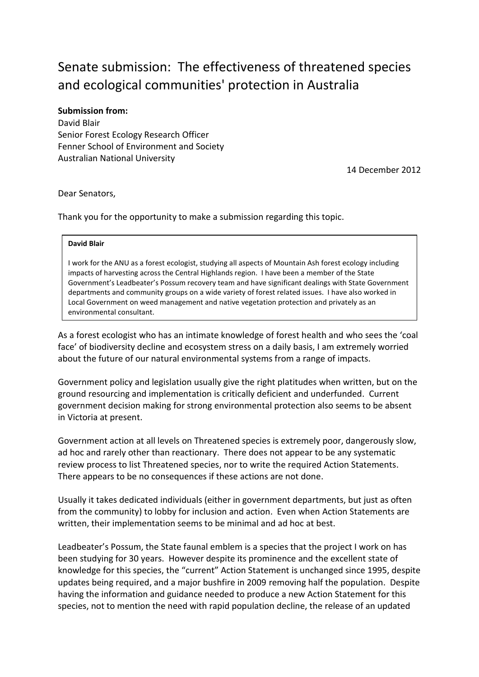## Senate submission: The effectiveness of threatened species and ecological communities' protection in Australia

## **Submission from:**

David Blair Senior Forest Ecology Research Officer Fenner School of Environment and Society Australian National University

14 December 2012

## Dear Senators,

Thank you for the opportunity to make a submission regarding this topic.

## **David Blair**

I work for the ANU as a forest ecologist, studying all aspects of Mountain Ash forest ecology including impacts of harvesting across the Central Highlands region. I have been a member of the State Government's Leadbeater's Possum recovery team and have significant dealings with State Government departments and community groups on a wide variety of forest related issues. I have also worked in Local Government on weed management and native vegetation protection and privately as an environmental consultant.

As a forest ecologist who has an intimate knowledge of forest health and who sees the 'coal face' of biodiversity decline and ecosystem stress on a daily basis, I am extremely worried about the future of our natural environmental systems from a range of impacts.

Government policy and legislation usually give the right platitudes when written, but on the ground resourcing and implementation is critically deficient and underfunded. Current government decision making for strong environmental protection also seems to be absent in Victoria at present.

Government action at all levels on Threatened species is extremely poor, dangerously slow, ad hoc and rarely other than reactionary. There does not appear to be any systematic review process to list Threatened species, nor to write the required Action Statements. There appears to be no consequences if these actions are not done.

Usually it takes dedicated individuals (either in government departments, but just as often from the community) to lobby for inclusion and action. Even when Action Statements are written, their implementation seems to be minimal and ad hoc at best.

Leadbeater's Possum, the State faunal emblem is a species that the project I work on has been studying for 30 years. However despite its prominence and the excellent state of knowledge for this species, the "current" Action Statement is unchanged since 1995, despite updates being required, and a major bushfire in 2009 removing half the population. Despite having the information and guidance needed to produce a new Action Statement for this species, not to mention the need with rapid population decline, the release of an updated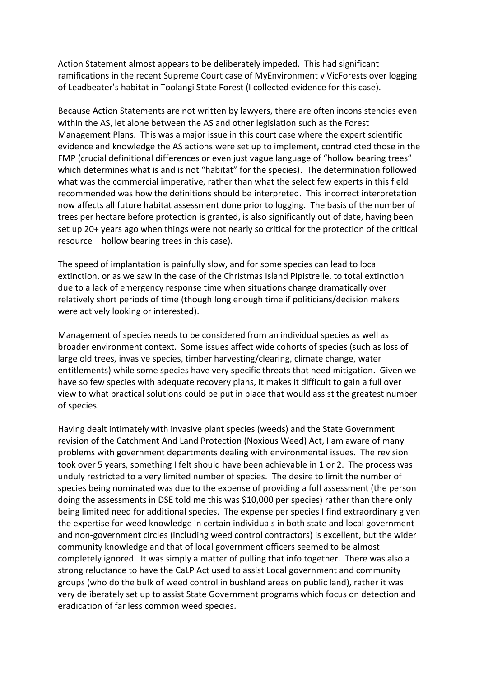Action Statement almost appears to be deliberately impeded. This had significant ramifications in the recent Supreme Court case of MyEnvironment v VicForests over logging of Leadbeater's habitat in Toolangi State Forest (I collected evidence for this case).

Because Action Statements are not written by lawyers, there are often inconsistencies even within the AS, let alone between the AS and other legislation such as the Forest Management Plans. This was a major issue in this court case where the expert scientific evidence and knowledge the AS actions were set up to implement, contradicted those in the FMP (crucial definitional differences or even just vague language of "hollow bearing trees" which determines what is and is not "habitat" for the species). The determination followed what was the commercial imperative, rather than what the select few experts in this field recommended was how the definitions should be interpreted. This incorrect interpretation now affects all future habitat assessment done prior to logging. The basis of the number of trees per hectare before protection is granted, is also significantly out of date, having been set up 20+ years ago when things were not nearly so critical for the protection of the critical resource – hollow bearing trees in this case).

The speed of implantation is painfully slow, and for some species can lead to local extinction, or as we saw in the case of the Christmas Island Pipistrelle, to total extinction due to a lack of emergency response time when situations change dramatically over relatively short periods of time (though long enough time if politicians/decision makers were actively looking or interested).

Management of species needs to be considered from an individual species as well as broader environment context. Some issues affect wide cohorts of species (such as loss of large old trees, invasive species, timber harvesting/clearing, climate change, water entitlements) while some species have very specific threats that need mitigation. Given we have so few species with adequate recovery plans, it makes it difficult to gain a full over view to what practical solutions could be put in place that would assist the greatest number of species.

Having dealt intimately with invasive plant species (weeds) and the State Government revision of the Catchment And Land Protection (Noxious Weed) Act, I am aware of many problems with government departments dealing with environmental issues. The revision took over 5 years, something I felt should have been achievable in 1 or 2. The process was unduly restricted to a very limited number of species. The desire to limit the number of species being nominated was due to the expense of providing a full assessment (the person doing the assessments in DSE told me this was \$10,000 per species) rather than there only being limited need for additional species. The expense per species I find extraordinary given the expertise for weed knowledge in certain individuals in both state and local government and non-government circles (including weed control contractors) is excellent, but the wider community knowledge and that of local government officers seemed to be almost completely ignored. It was simply a matter of pulling that info together. There was also a strong reluctance to have the CaLP Act used to assist Local government and community groups (who do the bulk of weed control in bushland areas on public land), rather it was very deliberately set up to assist State Government programs which focus on detection and eradication of far less common weed species.